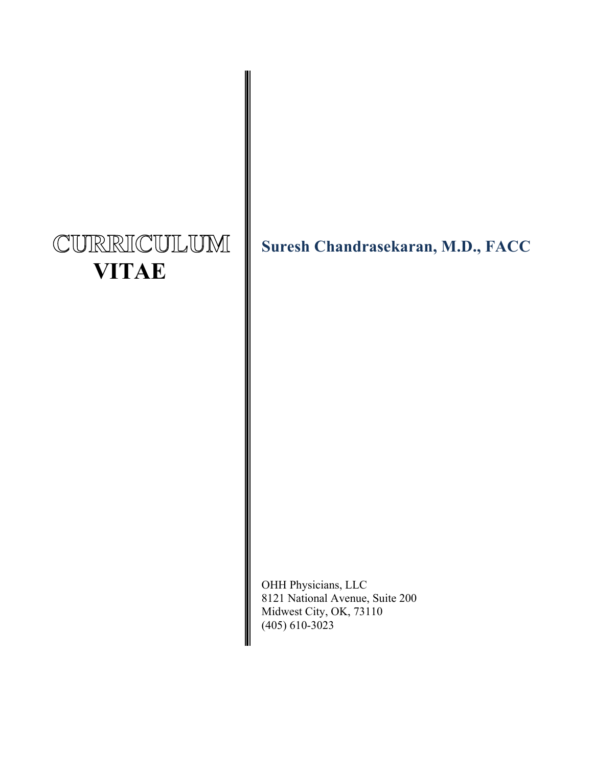# CURRICULUM  **VITAE**

**Suresh Chandrasekaran, M.D., FACC**

OHH Physicians, LLC 8121 National Avenue, Suite 200 Midwest City, OK, 73110  $(405)$  610-3023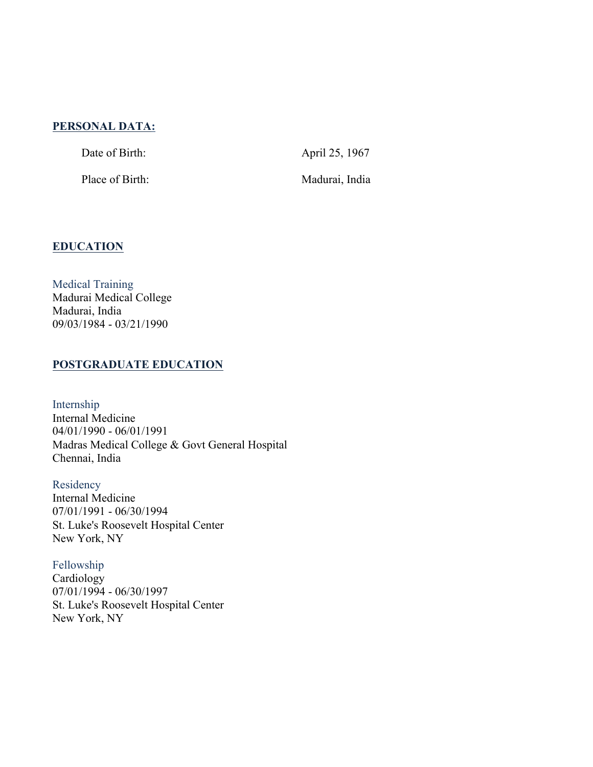#### **PERSONAL DATA:**

Date of Birth: April 25, 1967

Place of Birth: Madurai, India

# **EDUCATION**

Medical Training Madurai Medical College Madurai, India 09/03/1984 - 03/21/1990

#### **POSTGRADUATE EDUCATION**

Internship Internal Medicine 04/01/1990 - 06/01/1991 Madras Medical College & Govt General Hospital Chennai, India

Residency Internal Medicine 07/01/1991 - 06/30/1994 St. Luke's Roosevelt Hospital Center New York, NY

Fellowship Cardiology 07/01/1994 - 06/30/1997 St. Luke's Roosevelt Hospital Center New York, NY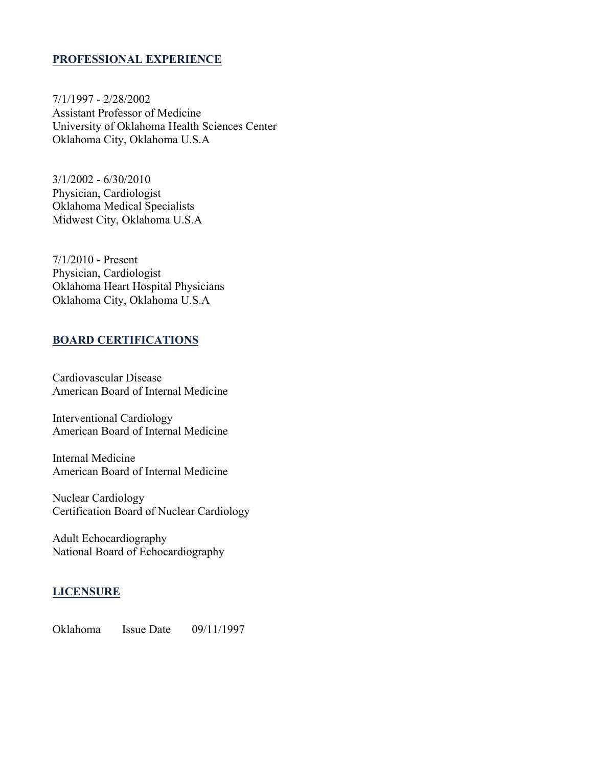## **PROFESSIONAL EXPERIENCE**

7/1/1997 - 2/28/2002 Assistant Professor of Medicine University of Oklahoma Health Sciences Center Oklahoma City, Oklahoma U.S.A

3/1/2002 - 6/30/2010 Physician, Cardiologist Oklahoma Medical Specialists Midwest City, Oklahoma U.S.A

7/1/2010 - Present Physician, Cardiologist Oklahoma Heart Hospital Physicians Oklahoma City, Oklahoma U.S.A

#### **BOARD CERTIFICATIONS**

Cardiovascular Disease American Board of Internal Medicine

Interventional Cardiology American Board of Internal Medicine

Internal Medicine American Board of Internal Medicine

Nuclear Cardiology Certification Board of Nuclear Cardiology

Adult Echocardiography National Board of Echocardiography

# **LICENSURE**

Oklahoma Issue Date 09/11/1997